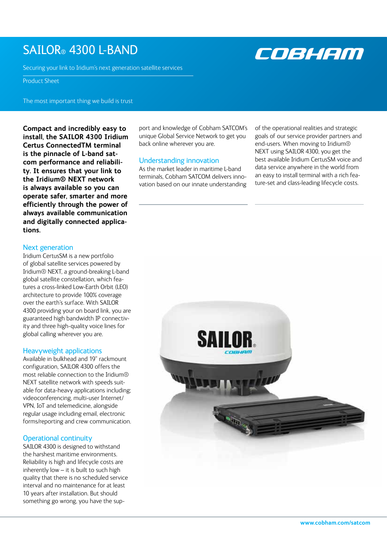# SAILOR® 4300 L-BAND

Securing your link to Iridium's next generation satellite services

# Product Sheet

The most important thing we build is trust

**Compact and incredibly easy to install, the SAILOR 4300 Iridium Certus ConnectedTM terminal is the pinnacle of L-band satcom performance and reliability. It ensures that your link to the Iridium® NEXT network is always available so you can operate safer, smarter and more efficiently through the power of always available communication and digitally connected applications.** 

# Next generation

Iridium CertusSM is a new portfolio of global satellite services powered by Iridium® NEXT, a ground-breaking L-band global satellite constellation, which features a cross-linked Low-Earth Orbit (LEO) architecture to provide 100% coverage over the earth's surface. With SAILOR 4300 providing your on board link, you are guaranteed high bandwidth IP connectivity and three high-quality voice lines for global calling wherever you are.

### Heavyweight applications

Available in bulkhead and 19" rackmount configuration, SAILOR 4300 offers the most reliable connection to the Iridium® NEXT satellite network with speeds suitable for data-heavy applications including; videoconferencing, multi-user Internet/ VPN, IoT and telemedicine, alongside regular usage including email, electronic forms/reporting and crew communication.

# Operational continuity

SAILOR 4300 is designed to withstand the harshest maritime environments. Reliability is high and lifecycle costs are inherently low – it is built to such high quality that there is no scheduled service interval and no maintenance for at least 10 years after installation. But should something go wrong, you have the support and knowledge of Cobham SATCOM's unique Global Service Network to get you back online wherever you are.

# Understanding innovation

As the market leader in maritime L-band terminals, Cobham SATCOM delivers innovation based on our innate understanding of the operational realities and strategic goals of our service provider partners and end-users. When moving to Iridium® NEXT using SAILOR 4300, you get the best available Iridium CertusSM voice and data service anywhere in the world from an easy to install terminal with a rich feature-set and class-leading lifecycle costs.